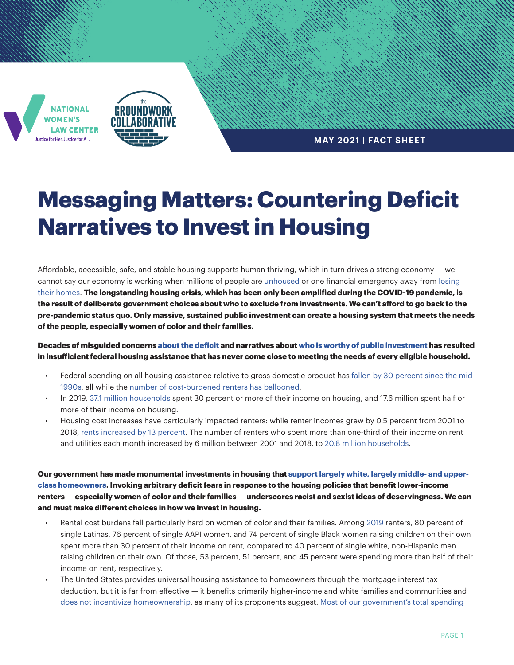



**MAY 2021 | FACT SHEET**

## **Messaging Matters: Countering Deficit Narratives to Invest in Housing**

Affordable, accessible, safe, and stable housing supports human thriving, which in turn drives a strong economy — we cannot say our economy is working when millions of people are [unhoused](https://www.statista.com/statistics/555795/estimated-number-of-homeless-people-in-the-us/) or one financial emergency away from [losing](https://www.census.gov/programs-surveys/household-pulse-survey/data.html)  [their homes](https://www.census.gov/programs-surveys/household-pulse-survey/data.html). **The longstanding housing crisis, which has been only been amplified during the COVID-19 pandemic, is the result of deliberate government choices about who to exclude from investments. We can't afford to go back to the pre-pandemic status quo. Only massive, sustained public investment can create a housing system that meets the needs of the people, especially women of color and their families.**

Decades of misguided concerns [about the deficit](https://groundworkcollaborative.org/wp-content/uploads/2020/11/GWC2061-Push-Back-Against-Austerity.pdf) and narratives about [who is worthy of public investment](https://truthout.org/articles/the-uss-failed-response-to-the-pandemic-is-rooted-in-anti-blackness/) has resulted in insufficient federal housing assistance that has never come close to meeting the needs of every eligible household.

- Federal spending on all housing assistance relative to gross domestic product has [fallen by 30 percent since the mid-](https://www.cbpp.org/research/housing/chart-book-cuts-in-federal-assistance-have-exacerbated-families-struggles-to)[1990s](https://www.cbpp.org/research/housing/chart-book-cuts-in-federal-assistance-have-exacerbated-families-struggles-to), all while the [number of cost-burdened renters has ballooned.](https://www.jchs.harvard.edu/sites/default/files/reports/files/Harvard_JCHS_The_State_of_the_Nations_Housing_2020_Report_Revised_120720.pdf)
- In 2019, [37.1 million households](https://www.jchs.harvard.edu/sites/default/files/reports/files/Harvard_JCHS_The_State_of_the_Nations_Housing_2020_Report_Revised_120720.pdf) spent 30 percent or more of their income on housing, and 17.6 million spent half or more of their income on housing.
- Housing cost increases have particularly impacted renters: while renter incomes grew by 0.5 percent from 2001 to 2018[, rents increased by 13 percent.](https://www.cbpp.org/blog/census-income-rent-gap-grew-in-2018) The number of renters who spent more than one-third of their income on rent and utilities each month increased by 6 million between 2001 and 2018, to [20.8 million households](https://www.jchs.harvard.edu/sites/default/files/reports/files/Harvard_JCHS_The_State_of_the_Nations_Housing_2020_Report_Revised_120720.pdf).

**Our government has made monumental investments in housing that [support largely white, largely middle- and upper](https://groundworkcollaborative.org/wp-content/uploads/2021/04/PastDueHousingPolicy_Final.pdf)[class homeowners.](https://groundworkcollaborative.org/wp-content/uploads/2021/04/PastDueHousingPolicy_Final.pdf) Invoking arbitrary deficit fears in response to the housing policies that benefit lower-income renters — especially women of color and their families — underscores racist and sexist ideas of deservingness. We can and must make different choices in how we invest in housing.**

- Rental cost burdens fall particularly hard on women of color and their families. Among [2019](https://www.opportunityhome.org/resources/gender-equity-housing/) renters, 80 percent of single Latinas, 76 percent of single AAPI women, and 74 percent of single Black women raising children on their own spent more than 30 percent of their income on rent, compared to 40 percent of single white, non-Hispanic men raising children on their own. Of those, 53 percent, 51 percent, and 45 percent were spending more than half of their income on rent, respectively.
- The United States provides universal housing assistance to homeowners through the mortgage interest tax deduction, but it is far from effective — it benefits primarily higher-income and white families and communities and [does not incentivize homeownership,](https://nlihc.org/sites/default/files/NLIHC-IERE_MID-Report.pdf?utm_source=NLIHC+All+Subscribers&utm_campaign=3baa4b0b9c-report_051321&utm_medium=email&utm_term=0_e090383b5e-3baa4b0b9c-293325502&ct=t(report_051321)) as many of its proponents suggest. [Most of our government's total spending](https://www.cbpp.org/research/housing/chart-book-federal-housing-spending-is-poorly-matched-to-need)